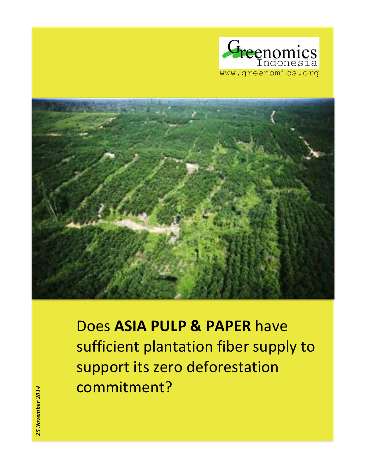



**Does ASIA PULP & PAPER have** sufficient plantation fiber supply to support its zero deforestation commitment?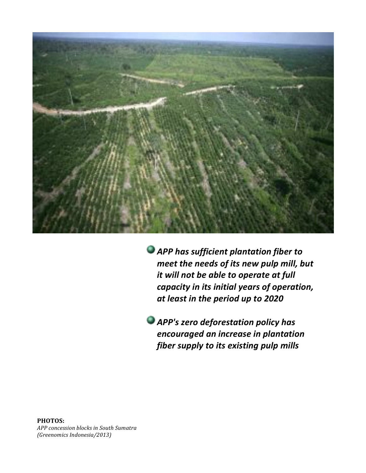

**APP has sufficient plantation fiber to** *meet the needs of its new pulp mill, but it will not be able to operate at full* capacity in its initial years of operation, at least in the period up to 2020

**APP's zero deforestation policy has** *encouraged an increase in plantation fiber supply to its existing pulp mills* 

**PHOTOS:'** *APP#concession#blocks#in#South#Sumatra# (Greenomics#Indonesia/2013)*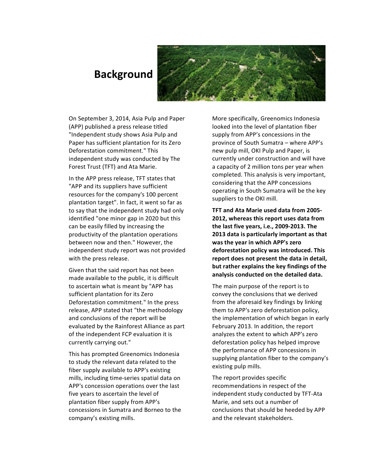## **Background**



On September 3, 2014, Asia Pulp and Paper (APP) published a press release titled "Independent study shows Asia Pulp and Paper has sufficient plantation for its Zero Deforestation commitment." This independent study was conducted by The Forest Trust (TFT) and Ata Marie.

In the APP press release, TFT states that "APP and its suppliers have sufficient resources for the company's 100 percent plantation target". In fact, it went so far as to say that the independent study had only identified "one minor gap in 2020 but this can be easily filled by increasing the productivity of the plantation operations between now and then." However, the independent study report was not provided with the press release.

Given that the said report has not been made available to the public, it is difficult to ascertain what is meant by "APP has sufficient plantation for its Zero Deforestation commitment." In the press release, APP stated that "the methodology and conclusions of the report will be evaluated by the Rainforest Alliance as part of the independent FCP evaluation it is currently carrying out."

This has prompted Greenomics Indonesia to study the relevant data related to the fiber supply available to APP's existing mills, including time-series spatial data on APP's concession operations over the last five years to ascertain the level of plantation fiber supply from APP's concessions in Sumatra and Borneo to the company's existing mills.

More specifically, Greenomics Indonesia looked into the level of plantation fiber supply from APP's concessions in the province of South Sumatra – where APP's new pulp mill, OKI Pulp and Paper, is currently under construction and will have a capacity of 2 million tons per year when completed. This analysis is very important, considering that the APP concessions operating in South Sumatra will be the key suppliers to the OKI mill.

**TFT and Ata Marie used data from 2005-2012, whereas this report uses data from** the last five years, i.e., 2009-2013. The **2013 data is particularly important as that** was the year in which APP's zero deforestation policy was introduced. This **report does not present the data in detail,** but rather explains the key findings of the analysis conducted on the detailed data.

The main purpose of the report is to convey the conclusions that we derived from the aforesaid key findings by linking them to APP's zero deforestation policy, the implementation of which began in early February 2013. In addition, the report analyzes the extent to which APP's zero deforestation policy has helped improve the performance of APP concessions in supplying plantation fiber to the company's existing pulp mills.

The report provides specific recommendations in respect of the independent study conducted by TFT-Ata Marie, and sets out a number of conclusions that should be heeded by APP and the relevant stakeholders.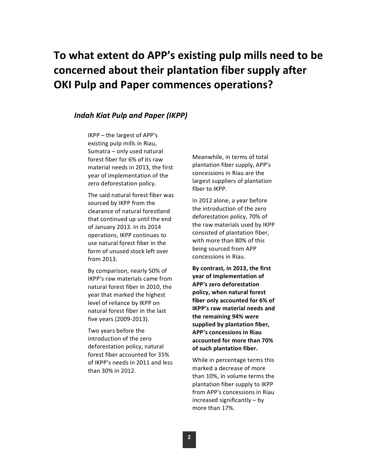# To what extent do APP's existing pulp mills need to be concerned about their plantation fiber supply after **OKI Pulp and Paper commences operations?**

### **Indah Kiat Pulp and Paper (IKPP)**

 $IKPP$  – the largest of APP's existing pulp mills in Riau, Sumatra - only used natural forest fiber for 6% of its raw material needs in 2013, the first year of implementation of the zero deforestation policy.

The said natural forest fiber was sourced by IKPP from the clearance of natural forestland that continued up until the end of January 2013. In its 2014 operations, IKPP continues to use natural forest fiber in the form of unused stock left over from 2013.

By comparison, nearly 50% of IKPP's raw materials came from natural forest fiber in 2010, the year that marked the highest level of reliance by IKPP on natural forest fiber in the last five years (2009-2013).

Two years before the introduction of the zero deforestation policy, natural forest fiber accounted for 35% of IKPP's needs in 2011 and less than 30% in 2012.

Meanwhile, in terms of total plantation fiber supply, APP's concessions in Riau are the largest suppliers of plantation fiber to IKPP.

In 2012 alone, a year before the introduction of the zero deforestation policy, 70% of the raw materials used by IKPP consisted of plantation fiber, with more than 80% of this being sourced from APP concessions in Riau.

By contrast, in 2013, the first **year of implementation of APP's zero deforestation** policy, when natural forest fiber only accounted for 6% of **IKPP's raw material needs and the!remaining!94%!were!** supplied by plantation fiber, **APP's concessions in Riau accounted!for!more!than!70%! of such plantation fiber.** 

While in percentage terms this marked a decrease of more than 10%, in volume terms the plantation fiber supply to IKPP from APP's concessions in Riau  $increased$  significantly – by more than 17%.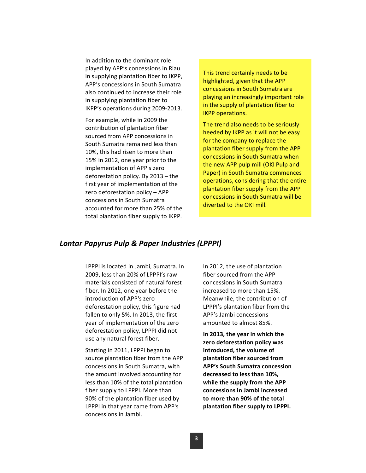In addition to the dominant role played by APP's concessions in Riau in supplying plantation fiber to IKPP, APP's concessions in South Sumatra also continued to increase their role in supplying plantation fiber to IKPP's operations during 2009-2013.

For example, while in 2009 the contribution of plantation fiber sourced from APP concessions in South Sumatra remained less than 10%, this had risen to more than 15% in 2012, one year prior to the implementation of APP's zero deforestation policy. By  $2013 -$  the first year of implementation of the zero deforestation policy  $-$  APP concessions in South Sumatra accounted for more than 25% of the total plantation fiber supply to IKPP.

This trend certainly needs to be highlighted, given that the APP concessions in South Sumatra are playing an increasingly important role in the supply of plantation fiber to IKPP operations.

The trend also needs to be seriously heeded by IKPP as it will not be easy for the company to replace the plantation fiber supply from the APP concessions in South Sumatra when the new APP pulp mill (OKI Pulp and Paper) in South Sumatra commences operations, considering that the entire plantation fiber supply from the APP concessions in South Sumatra will be diverted to the OKI mill.

### *Lontar#Papyrus#Pulp#&#Paper#Industries#(LPPPI)*

LPPPI is located in Jambi, Sumatra. In 2009, less than 20% of LPPPI's raw materials consisted of natural forest fiber. In 2012, one year before the introduction of APP's zero deforestation policy, this figure had fallen to only 5%. In 2013, the first year of implementation of the zero deforestation policy, LPPPI did not use any natural forest fiber.

Starting in 2011, LPPPI began to source plantation fiber from the APP concessions in South Sumatra, with the amount involved accounting for less than 10% of the total plantation fiber supply to LPPPI. More than 90% of the plantation fiber used by LPPPI in that year came from APP's concessions in Jambi.

In 2012, the use of plantation fiber sourced from the APP concessions in South Sumatra increased to more than 15%. Meanwhile, the contribution of LPPPI's plantation fiber from the APP's Jambi concessions amounted to almost 85%.

In 2013, the year in which the zero deforestation policy was **introduced, the volume of plantation fiber sourced from APP's!South!Sumatra!concession!** decreased to less than 10%, while the supply from the APP concessions in Jambi increased to more than 90% of the total plantation fiber supply to LPPPI.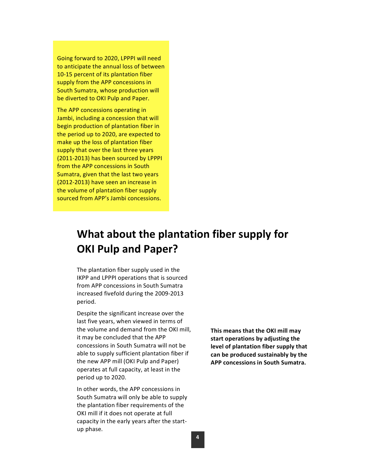Going forward to 2020, LPPPI will need to anticipate the annual loss of between 10-15 percent of its plantation fiber supply from the APP concessions in South Sumatra, whose production will be diverted to OKI Pulp and Paper.

The APP concessions operating in Jambi, including a concession that will begin production of plantation fiber in the period up to 2020, are expected to make up the loss of plantation fiber supply that over the last three years (2011-2013) has been sourced by LPPPI from the APP concessions in South Sumatra, given that the last two years  $(2012-2013)$  have seen an increase in the volume of plantation fiber supply sourced from APP's Jambi concessions.

## **What about the plantation fiber supply for OKI Pulp and Paper?**

The plantation fiber supply used in the IKPP and LPPPI operations that is sourced from APP concessions in South Sumatra increased fivefold during the 2009-2013 period.

Despite the significant increase over the last five years, when viewed in terms of the volume and demand from the OKI mill, it may be concluded that the APP concessions in South Sumatra will not be able to supply sufficient plantation fiber if the new APP mill (OKI Pulp and Paper) operates at full capacity, at least in the period up to 2020.

In other words, the APP concessions in South Sumatra will only be able to supply the plantation fiber requirements of the OKI mill if it does not operate at full capacity in the early years after the startup phase.

This means that the OKI mill may start operations by adjusting the level of plantation fiber supply that can be produced sustainably by the **APP concessions in South Sumatra.**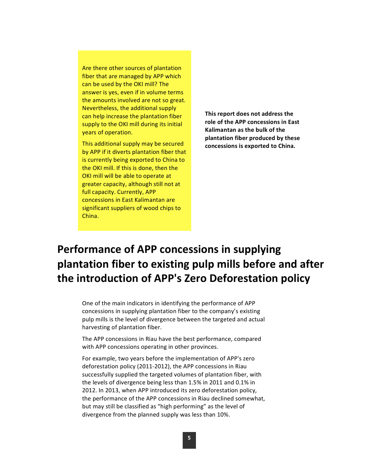Are there other sources of plantation fiber that are managed by APP which can be used by the OKI mill? The answer is yes, even if in volume terms the amounts involved are not so great. Nevertheless, the additional supply can help increase the plantation fiber supply to the OKI mill during its initial years of operation.

This additional supply may be secured by APP if it diverts plantation fiber that is currently being exported to China to the OKI mill. If this is done, then the OKI mill will be able to operate at greater capacity, although still not at full capacity. Currently, APP concessions in East Kalimantan are significant suppliers of wood chips to China.

This report does not address the **role of the APP concessions in East Kalimantan as the bulk of the** plantation fiber produced by these concessions is exported to China.

# **Performance of APP concessions in supplying** plantation fiber to existing pulp mills before and after the introduction of APP's Zero Deforestation policy

One of the main indicators in identifying the performance of APP concessions in supplying plantation fiber to the company's existing pulp mills is the level of divergence between the targeted and actual harvesting of plantation fiber.

The APP concessions in Riau have the best performance, compared with APP concessions operating in other provinces.

For example, two years before the implementation of APP's zero deforestation policy (2011-2012), the APP concessions in Riau successfully supplied the targeted volumes of plantation fiber, with the levels of divergence being less than  $1.5%$  in 2011 and 0.1% in 2012. In 2013, when APP introduced its zero deforestation policy, the performance of the APP concessions in Riau declined somewhat, but may still be classified as "high performing" as the level of divergence from the planned supply was less than 10%.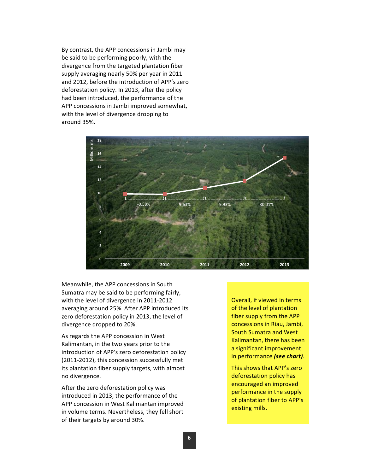By contrast, the APP concessions in Jambi may be said to be performing poorly, with the divergence from the targeted plantation fiber supply averaging nearly 50% per year in 2011 and 2012, before the introduction of APP's zero deforestation policy. In 2013, after the policy had been introduced, the performance of the APP concessions in Jambi improved somewhat, with the level of divergence dropping to around 35%.



Meanwhile, the APP concessions in South Sumatra may be said to be performing fairly, with the level of divergence in 2011-2012 averaging around 25%. After APP introduced its zero deforestation policy in 2013, the level of divergence dropped to 20%.

As regards the APP concession in West Kalimantan, in the two years prior to the introduction of APP's zero deforestation policy  $(2011-2012)$ , this concession successfully met its plantation fiber supply targets, with almost no divergence.

After the zero deforestation policy was introduced in 2013, the performance of the APP concession in West Kalimantan improved in volume terms. Nevertheless, they fell short of their targets by around 30%.

Overall, if viewed in terms of the level of plantation fiber supply from the APP concessions in Riau, Jambi, South Sumatra and West Kalimantan, there has been a significant improvement in performance *(see chart)*.

This shows that APP's zero deforestation policy has encouraged an improved performance in the supply of plantation fiber to APP's existing mills.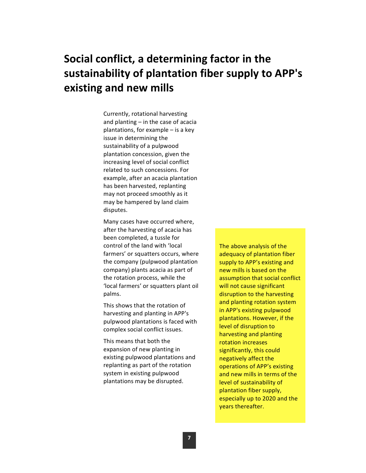# **Social conflict, a determining factor in the** sustainability of plantation fiber supply to APP's **existing!and!new mills**

Currently, rotational harvesting and planting  $-$  in the case of acacia plantations, for example  $-$  is a key issue in determining the sustainability of a pulpwood plantation concession, given the increasing level of social conflict related to such concessions. For example, after an acacia plantation has been harvested, replanting may not proceed smoothly as it may be hampered by land claim disputes.

Many cases have occurred where, after the harvesting of acacia has been completed, a tussle for control of the land with 'local farmers' or squatters occurs, where the company (pulpwood plantation company) plants acacia as part of the rotation process, while the 'local farmers' or squatters plant oil palms.

This shows that the rotation of harvesting and planting in APP's pulpwood plantations is faced with complex social conflict issues.

This means that both the expansion of new planting in existing pulpwood plantations and replanting as part of the rotation system in existing pulpwood plantations may be disrupted.

The above analysis of the adequacy of plantation fiber supply to APP's existing and new mills is based on the assumption that social conflict will not cause significant disruption to the harvesting and planting rotation system in APP's existing pulpwood plantations. However, if the level of disruption to harvesting and planting rotation increases significantly, this could negatively affect the operations of APP's existing and new mills in terms of the level of sustainability of plantation fiber supply, especially up to 2020 and the years thereafter.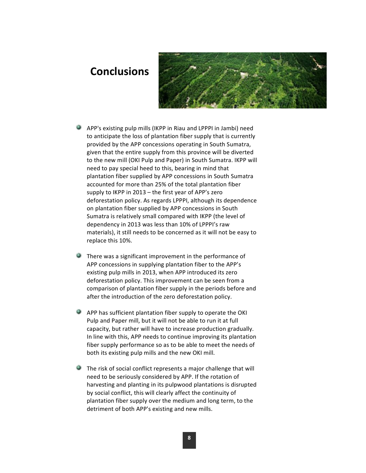### **Conclusions**



- $\bullet$  APP's existing pulp mills (IKPP in Riau and LPPPI in Jambi) need to anticipate the loss of plantation fiber supply that is currently provided by the APP concessions operating in South Sumatra, given that the entire supply from this province will be diverted to the new mill (OKI Pulp and Paper) in South Sumatra. IKPP will need to pay special heed to this, bearing in mind that plantation fiber supplied by APP concessions in South Sumatra accounted for more than 25% of the total plantation fiber supply to IKPP in 2013 – the first year of APP's zero deforestation policy. As regards LPPPI, although its dependence on plantation fiber supplied by APP concessions in South Sumatra is relatively small compared with IKPP (the level of dependency in 2013 was less than 10% of LPPPI's raw materials), it still needs to be concerned as it will not be easy to replace this 10%.
- $\bullet$  There was a significant improvement in the performance of APP concessions in supplying plantation fiber to the APP's existing pulp mills in 2013, when APP introduced its zero deforestation policy. This improvement can be seen from a comparison of plantation fiber supply in the periods before and after the introduction of the zero deforestation policy.
- $\bullet$  APP has sufficient plantation fiber supply to operate the OKI Pulp and Paper mill, but it will not be able to run it at full capacity, but rather will have to increase production gradually. In line with this, APP needs to continue improving its plantation fiber supply performance so as to be able to meet the needs of both its existing pulp mills and the new OKI mill.
- $\blacksquare$  The risk of social conflict represents a major challenge that will need to be seriously considered by APP. If the rotation of harvesting and planting in its pulpwood plantations is disrupted by social conflict, this will clearly affect the continuity of plantation fiber supply over the medium and long term, to the detriment of both APP's existing and new mills.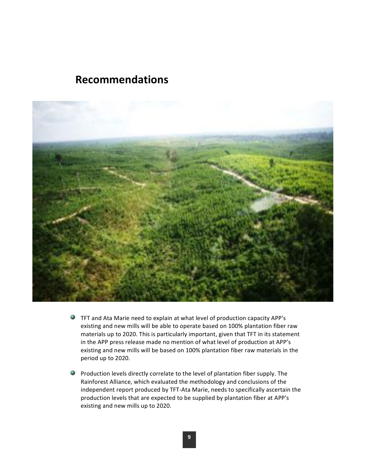### **Recommendations**



- $\bullet$  TFT and Ata Marie need to explain at what level of production capacity APP's existing and new mills will be able to operate based on 100% plantation fiber raw materials up to 2020. This is particularly important, given that TFT in its statement in the APP press release made no mention of what level of production at APP's existing and new mills will be based on 100% plantation fiber raw materials in the period up to 2020.
- $\bullet$  Production levels directly correlate to the level of plantation fiber supply. The Rainforest Alliance, which evaluated the methodology and conclusions of the independent report produced by TFT-Ata Marie, needs to specifically ascertain the production levels that are expected to be supplied by plantation fiber at APP's existing and new mills up to 2020.